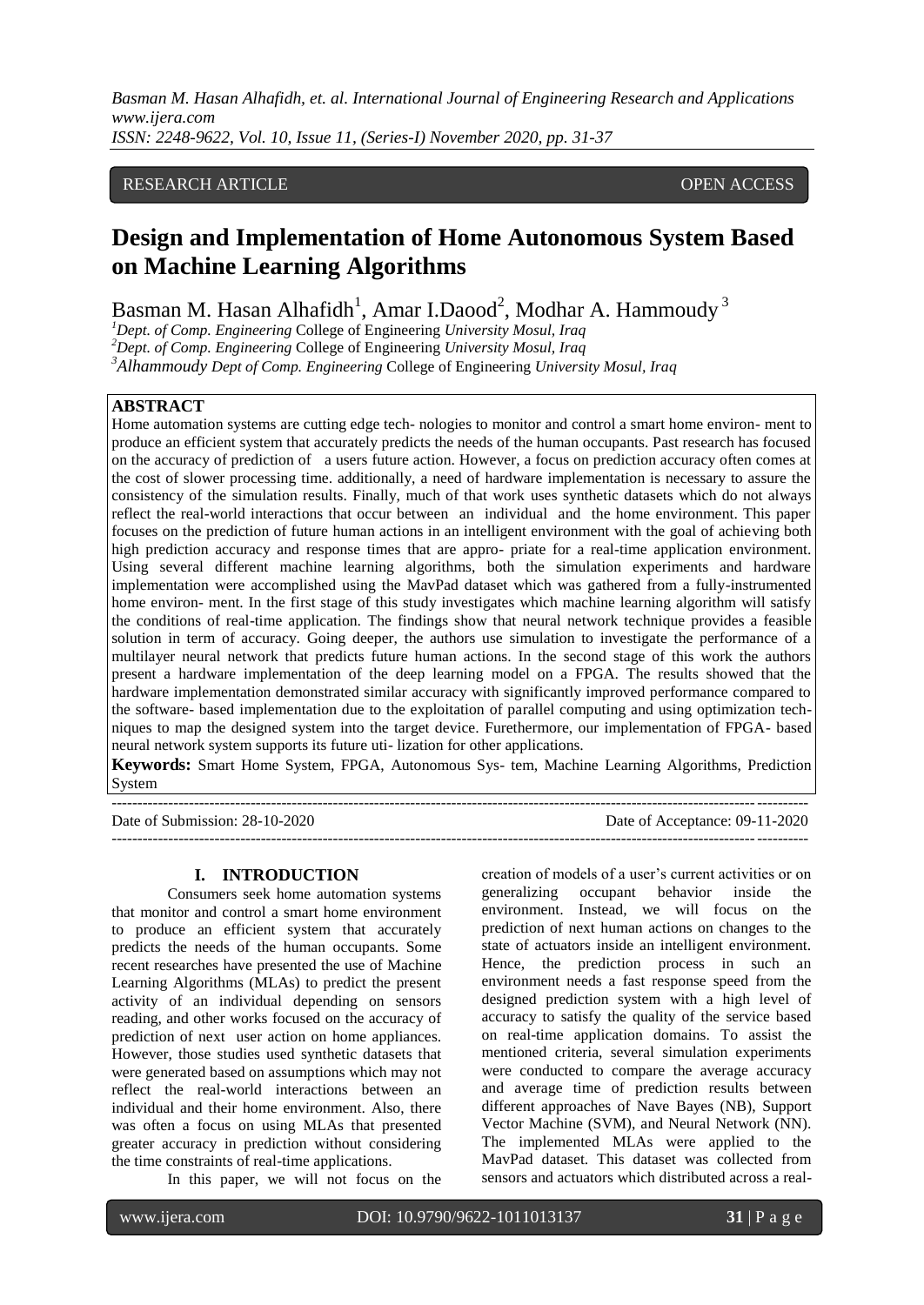# RESEARCH ARTICLE OPEN ACCESS

# **Design and Implementation of Home Autonomous System Based on Machine Learning Algorithms**

Basman M. Hasan Alhafidh<sup>1</sup>, Amar I.Daood<sup>2</sup>, Modhar A. Hammoudy<sup>3</sup>

*<sup>1</sup>Dept. of Comp. Engineering* College of Engineering *University Mosul, Iraq <sup>2</sup>Dept. of Comp. Engineering* College of Engineering *University Mosul, Iraq <sup>3</sup>Alhammoudy Dept of Comp. Engineering* College of Engineering *University Mosul, Iraq*

# **ABSTRACT**

Home automation systems are cutting edge tech- nologies to monitor and control a smart home environ- ment to produce an efficient system that accurately predicts the needs of the human occupants. Past research has focused on the accuracy of prediction of a users future action. However, a focus on prediction accuracy often comes at the cost of slower processing time. additionally, a need of hardware implementation is necessary to assure the consistency of the simulation results. Finally, much of that work uses synthetic datasets which do not always reflect the real-world interactions that occur between an individual and the home environment. This paper focuses on the prediction of future human actions in an intelligent environment with the goal of achieving both high prediction accuracy and response times that are appro- priate for a real-time application environment. Using several different machine learning algorithms, both the simulation experiments and hardware implementation were accomplished using the MavPad dataset which was gathered from a fully-instrumented home environ- ment. In the first stage of this study investigates which machine learning algorithm will satisfy the conditions of real-time application. The findings show that neural network technique provides a feasible solution in term of accuracy. Going deeper, the authors use simulation to investigate the performance of a multilayer neural network that predicts future human actions. In the second stage of this work the authors present a hardware implementation of the deep learning model on a FPGA. The results showed that the hardware implementation demonstrated similar accuracy with significantly improved performance compared to the software- based implementation due to the exploitation of parallel computing and using optimization techniques to map the designed system into the target device. Furethermore, our implementation of FPGA- based neural network system supports its future uti- lization for other applications.

**Keywords:** Smart Home System, FPGA, Autonomous Sys- tem, Machine Learning Algorithms, Prediction System

--------------------------------------------------------------------------------------------------------------------------------------- Date of Submission: 28-10-2020 Date of Acceptance: 09-11-2020  $-1.1$ 

#### **I. INTRODUCTION**

Consumers seek home automation systems that monitor and control a smart home environment to produce an efficient system that accurately predicts the needs of the human occupants. Some recent researches have presented the use of Machine Learning Algorithms (MLAs) to predict the present activity of an individual depending on sensors reading, and other works focused on the accuracy of prediction of next user action on home appliances. However, those studies used synthetic datasets that were generated based on assumptions which may not reflect the real-world interactions between an individual and their home environment. Also, there was often a focus on using MLAs that presented greater accuracy in prediction without considering the time constraints of real-time applications.

In this paper, we will not focus on the

creation of models of a user's current activities or on generalizing occupant behavior inside the environment. Instead, we will focus on the prediction of next human actions on changes to the state of actuators inside an intelligent environment. Hence, the prediction process in such an environment needs a fast response speed from the designed prediction system with a high level of accuracy to satisfy the quality of the service based on real-time application domains. To assist the mentioned criteria, several simulation experiments were conducted to compare the average accuracy and average time of prediction results between different approaches of Nave Bayes (NB), Support Vector Machine (SVM), and Neural Network (NN). The implemented MLAs were applied to the MavPad dataset. This dataset was collected from sensors and actuators which distributed across a real-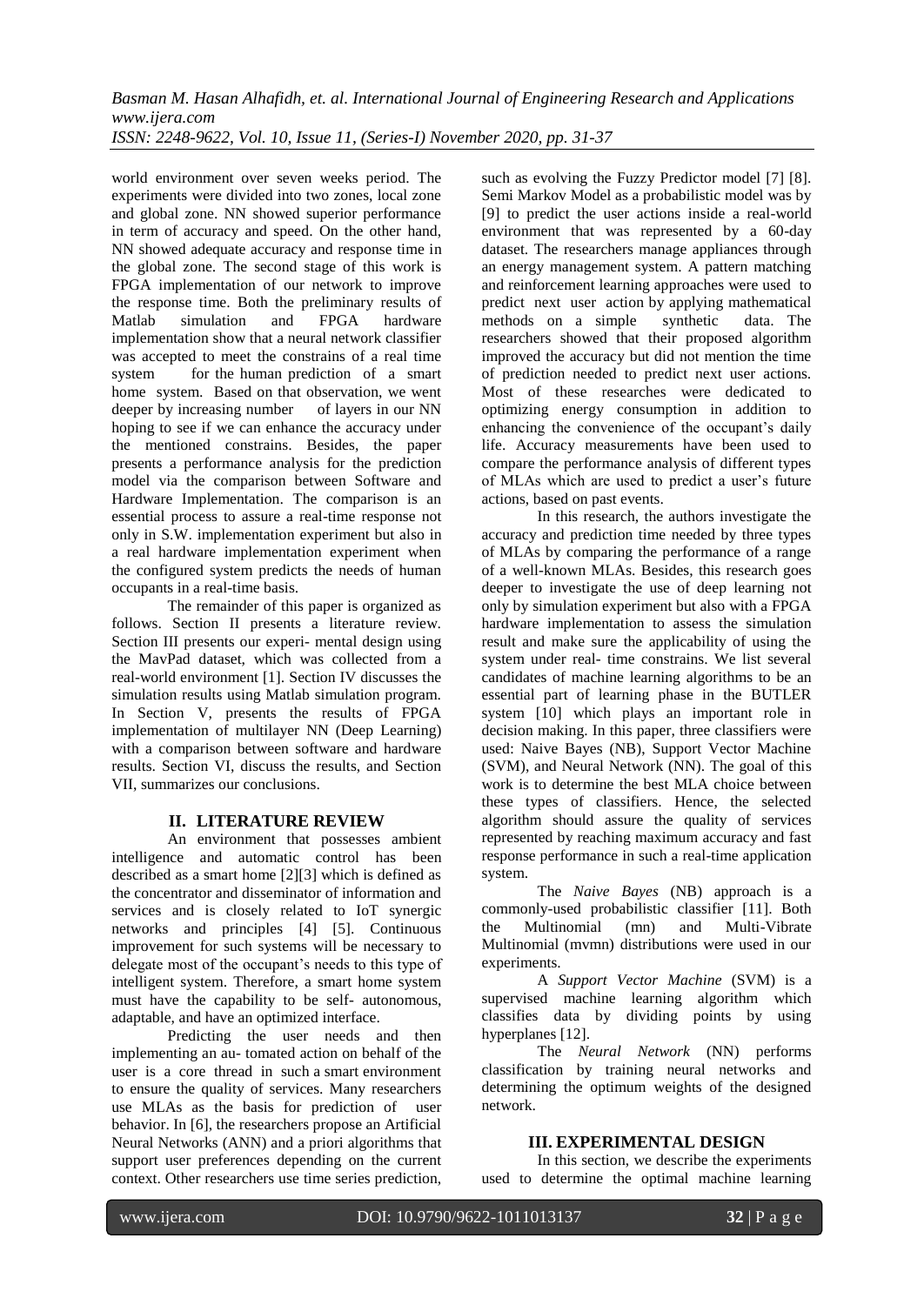world environment over seven weeks period. The experiments were divided into two zones, local zone and global zone. NN showed superior performance in term of accuracy and speed. On the other hand, NN showed adequate accuracy and response time in the global zone. The second stage of this work is FPGA implementation of our network to improve the response time. Both the preliminary results of<br>Matlab simulation and FPGA hardware Matlab simulation and FPGA hardware implementation show that a neural network classifier was accepted to meet the constrains of a real time system for the human prediction of a smart home system. Based on that observation, we went<br>deeper by increasing number of lavers in our NN deeper by increasing number hoping to see if we can enhance the accuracy under the mentioned constrains. Besides, the paper presents a performance analysis for the prediction model via the comparison between Software and Hardware Implementation. The comparison is an essential process to assure a real-time response not only in S.W. implementation experiment but also in a real hardware implementation experiment when the configured system predicts the needs of human occupants in a real-time basis.

The remainder of this paper is organized as follows. Section II presents a literature review. Section III presents our experi- mental design using the MavPad dataset, which was collected from a real-world environment [1]. Section IV discusses the simulation results using Matlab simulation program. In Section V, presents the results of FPGA implementation of multilayer NN (Deep Learning) with a comparison between software and hardware results. Section VI, discuss the results, and Section VII, summarizes our conclusions.

## **II. LITERATURE REVIEW**

An environment that possesses ambient intelligence and automatic control has been described as a smart home [2][3] which is defined as the concentrator and disseminator of information and services and is closely related to IoT synergic networks and principles [4] [5]. Continuous improvement for such systems will be necessary to delegate most of the occupant's needs to this type of intelligent system. Therefore, a smart home system must have the capability to be self- autonomous, adaptable, and have an optimized interface.

Predicting the user needs and then implementing an au- tomated action on behalf of the user is a core thread in such a smart environment to ensure the quality of services. Many researchers use MLAs as the basis for prediction of user behavior. In [6], the researchers propose an Artificial Neural Networks (ANN) and a priori algorithms that support user preferences depending on the current context. Other researchers use time series prediction,

such as evolving the Fuzzy Predictor model [7] [8]. Semi Markov Model as a probabilistic model was by [9] to predict the user actions inside a real-world environment that was represented by a 60-day dataset. The researchers manage appliances through an energy management system. A pattern matching and reinforcement learning approaches were used to predict next user action by applying mathematical methods on a simple synthetic data. The researchers showed that their proposed algorithm improved the accuracy but did not mention the time of prediction needed to predict next user actions. Most of these researches were dedicated to optimizing energy consumption in addition to enhancing the convenience of the occupant's daily life. Accuracy measurements have been used to compare the performance analysis of different types of MLAs which are used to predict a user's future actions, based on past events.

In this research, the authors investigate the accuracy and prediction time needed by three types of MLAs by comparing the performance of a range of a well-known MLAs. Besides, this research goes deeper to investigate the use of deep learning not only by simulation experiment but also with a FPGA hardware implementation to assess the simulation result and make sure the applicability of using the system under real- time constrains. We list several candidates of machine learning algorithms to be an essential part of learning phase in the BUTLER system [10] which plays an important role in decision making. In this paper, three classifiers were used: Naive Bayes (NB), Support Vector Machine (SVM), and Neural Network (NN). The goal of this work is to determine the best MLA choice between these types of classifiers. Hence, the selected algorithm should assure the quality of services represented by reaching maximum accuracy and fast response performance in such a real-time application system.

The *Naive Bayes* (NB) approach is a commonly-used probabilistic classifier [11]. Both the Multinomial (mn) and Multi-Vibrate Multinomial (mvmn) distributions were used in our experiments.

A *Support Vector Machine* (SVM) is a supervised machine learning algorithm which classifies data by dividing points by using hyperplanes [12].

The *Neural Network* (NN) performs classification by training neural networks and determining the optimum weights of the designed network.

## **III. EXPERIMENTAL DESIGN**

In this section, we describe the experiments used to determine the optimal machine learning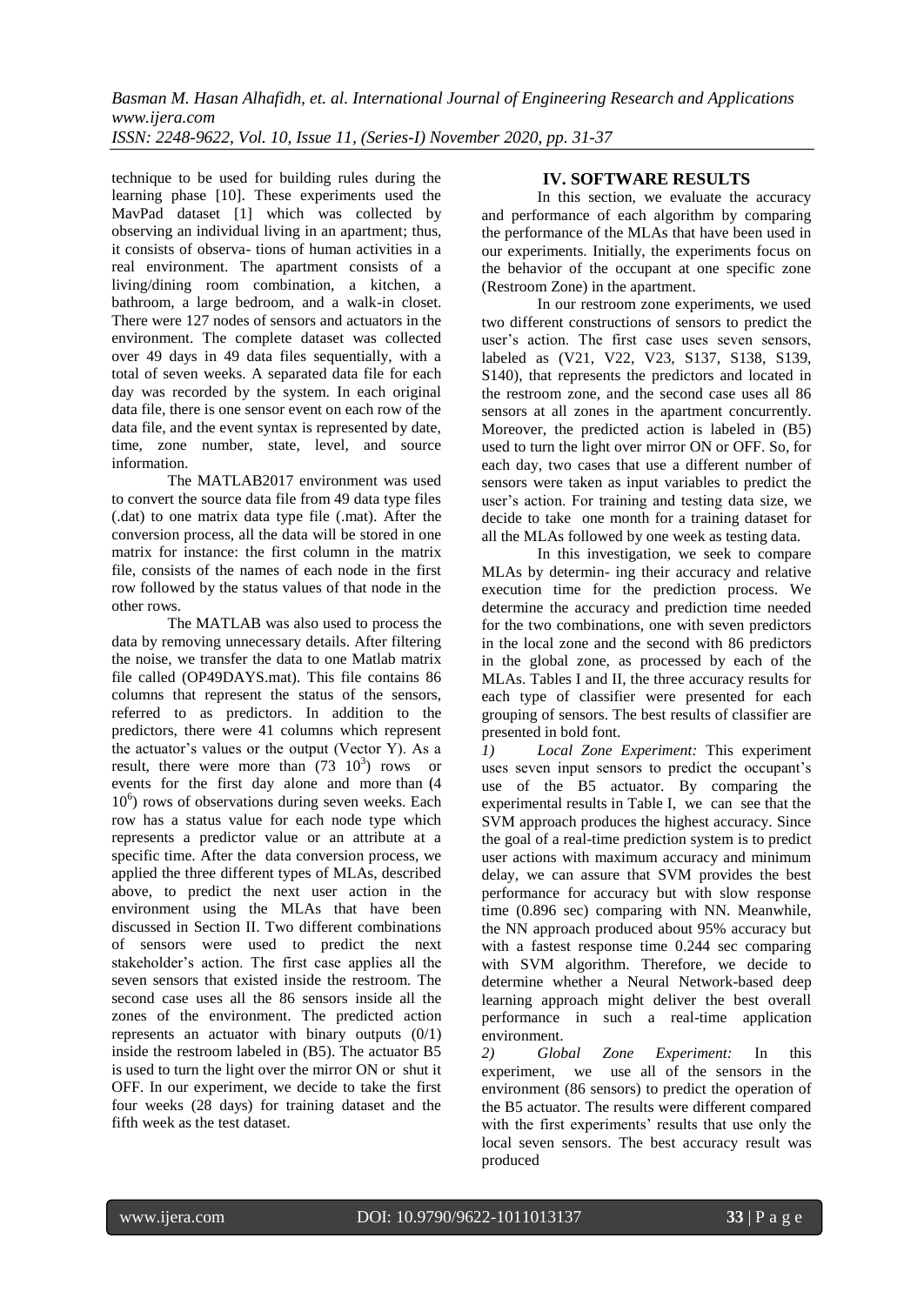technique to be used for building rules during the learning phase [10]. These experiments used the MavPad dataset [1] which was collected by observing an individual living in an apartment; thus, it consists of observa- tions of human activities in a real environment. The apartment consists of a living/dining room combination, a kitchen, a bathroom, a large bedroom, and a walk-in closet. There were 127 nodes of sensors and actuators in the environment. The complete dataset was collected over 49 days in 49 data files sequentially, with a total of seven weeks. A separated data file for each day was recorded by the system. In each original data file, there is one sensor event on each row of the data file, and the event syntax is represented by date, time, zone number, state, level, and source information.

The MATLAB2017 environment was used to convert the source data file from 49 data type files (.dat) to one matrix data type file (.mat). After the conversion process, all the data will be stored in one matrix for instance: the first column in the matrix file, consists of the names of each node in the first row followed by the status values of that node in the other rows.

The MATLAB was also used to process the data by removing unnecessary details. After filtering the noise, we transfer the data to one Matlab matrix file called (OP49DAYS.mat). This file contains 86 columns that represent the status of the sensors, referred to as predictors. In addition to the predictors, there were 41 columns which represent the actuator's values or the output (Vector Y). As a result, there were more than  $(73 \t10^3)$  rows or events for the first day alone and more than (4 10<sup>6</sup>) rows of observations during seven weeks. Each row has a status value for each node type which represents a predictor value or an attribute at a specific time. After the data conversion process, we applied the three different types of MLAs, described above, to predict the next user action in the environment using the MLAs that have been discussed in Section II. Two different combinations of sensors were used to predict the next stakeholder's action. The first case applies all the seven sensors that existed inside the restroom. The second case uses all the 86 sensors inside all the zones of the environment. The predicted action represents an actuator with binary outputs  $(0/1)$ inside the restroom labeled in (B5). The actuator B5 is used to turn the light over the mirror ON or shut it OFF. In our experiment, we decide to take the first four weeks (28 days) for training dataset and the fifth week as the test dataset.

## **IV. SOFTWARE RESULTS**

In this section, we evaluate the accuracy and performance of each algorithm by comparing the performance of the MLAs that have been used in our experiments. Initially, the experiments focus on the behavior of the occupant at one specific zone (Restroom Zone) in the apartment.

In our restroom zone experiments, we used two different constructions of sensors to predict the user's action. The first case uses seven sensors, labeled as (V21, V22, V23, S137, S138, S139, S140), that represents the predictors and located in the restroom zone, and the second case uses all 86 sensors at all zones in the apartment concurrently. Moreover, the predicted action is labeled in (B5) used to turn the light over mirror ON or OFF. So, for each day, two cases that use a different number of sensors were taken as input variables to predict the user's action. For training and testing data size, we decide to take one month for a training dataset for all the MLAs followed by one week as testing data.

In this investigation, we seek to compare MLAs by determin- ing their accuracy and relative execution time for the prediction process. We determine the accuracy and prediction time needed for the two combinations, one with seven predictors in the local zone and the second with 86 predictors in the global zone, as processed by each of the MLAs. Tables I and II, the three accuracy results for each type of classifier were presented for each grouping of sensors. The best results of classifier are presented in bold font.

*1) Local Zone Experiment:* This experiment uses seven input sensors to predict the occupant's use of the B5 actuator. By comparing the experimental results in Table I, we can see that the SVM approach produces the highest accuracy. Since the goal of a real-time prediction system is to predict user actions with maximum accuracy and minimum delay, we can assure that SVM provides the best performance for accuracy but with slow response time (0.896 sec) comparing with NN. Meanwhile, the NN approach produced about 95% accuracy but with a fastest response time 0.244 sec comparing with SVM algorithm. Therefore, we decide to determine whether a Neural Network-based deep learning approach might deliver the best overall performance in such a real-time application environment.

*2) Global Zone Experiment:* In this experiment, we use all of the sensors in the environment (86 sensors) to predict the operation of the B5 actuator. The results were different compared with the first experiments' results that use only the local seven sensors. The best accuracy result was produced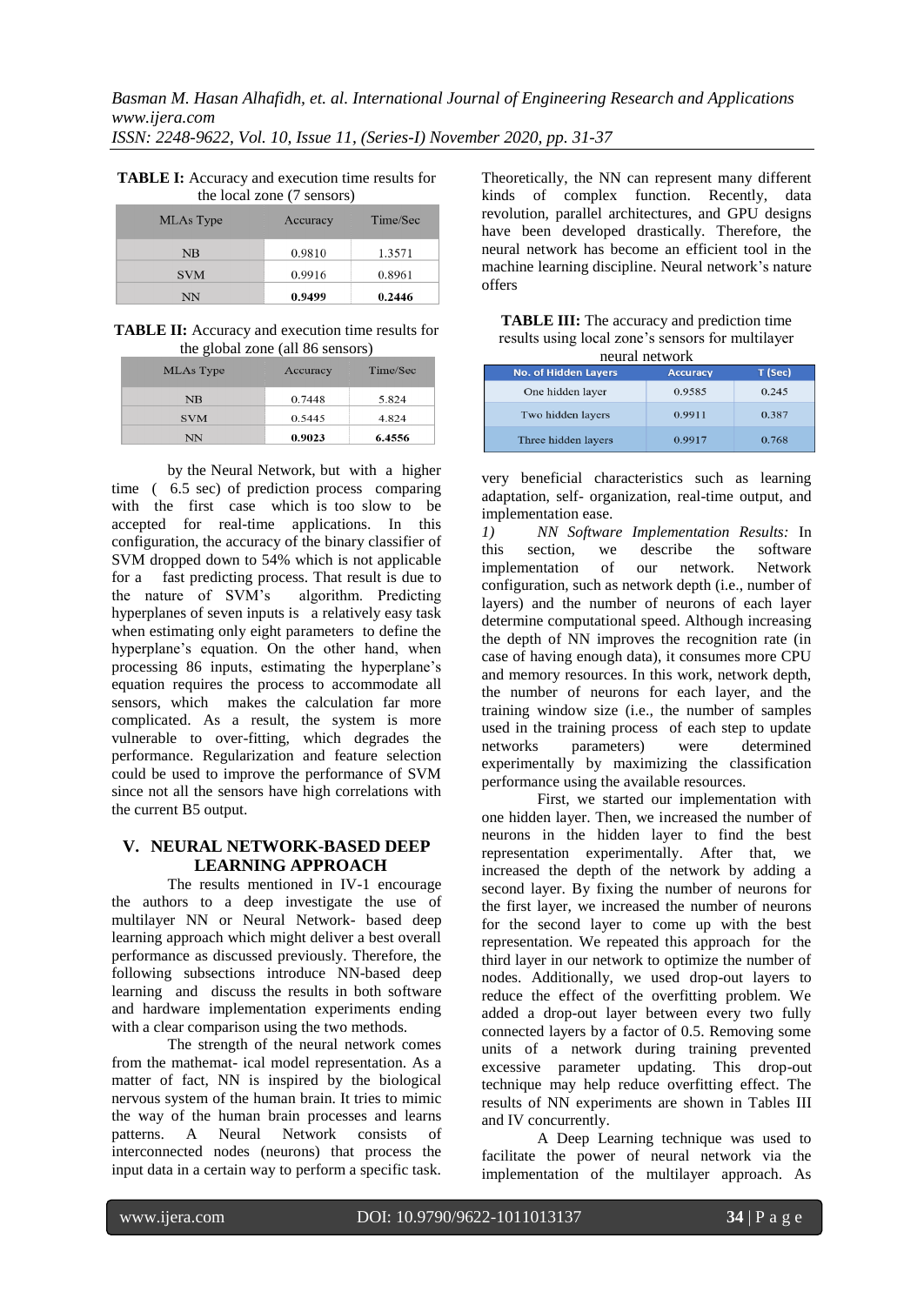| $\frac{1}{2}$ |          |          |  |
|---------------|----------|----------|--|
| MLAs Type     | Accuracy | Time/Sec |  |
| NB            | 0.9810   | 1.3571   |  |
| <b>SVM</b>    | 0.9916   | 0.8961   |  |
| NN            | 0.9499   | 0.2446   |  |

**TABLE I:** Accuracy and execution time results for the local zone (7 sensors)

**TABLE II:** Accuracy and execution time results for the global zone (all 86 sensors)

| MLAs Type  | Accuracy | Time/Sec |  |  |
|------------|----------|----------|--|--|
| NB         | 0.7448   | 5.824    |  |  |
| <b>SVM</b> | 0.5445   | 4.824    |  |  |
| NN         | 0.9023   | 6.4556   |  |  |

by the Neural Network, but with a higher time ( 6.5 sec) of prediction process comparing with the first case which is too slow to be accepted for real-time applications. In this configuration, the accuracy of the binary classifier of SVM dropped down to 54% which is not applicable for a fast predicting process. That result is due to the nature of SVM's algorithm. Predicting hyperplanes of seven inputs is a relatively easy task when estimating only eight parameters to define the hyperplane's equation. On the other hand, when processing 86 inputs, estimating the hyperplane's equation requires the process to accommodate all sensors, which makes the calculation far more complicated. As a result, the system is more vulnerable to over-fitting, which degrades the performance. Regularization and feature selection could be used to improve the performance of SVM since not all the sensors have high correlations with the current B5 output.

# **V. NEURAL NETWORK-BASED DEEP LEARNING APPROACH**

The results mentioned in IV-1 encourage the authors to a deep investigate the use of multilayer NN or Neural Network- based deep learning approach which might deliver a best overall performance as discussed previously. Therefore, the following subsections introduce NN-based deep learning and discuss the results in both software and hardware implementation experiments ending with a clear comparison using the two methods.

The strength of the neural network comes from the mathemat- ical model representation. As a matter of fact, NN is inspired by the biological nervous system of the human brain. It tries to mimic the way of the human brain processes and learns patterns. A Neural Network consists of interconnected nodes (neurons) that process the input data in a certain way to perform a specific task.

Theoretically, the NN can represent many different kinds of complex function. Recently, data revolution, parallel architectures, and GPU designs have been developed drastically. Therefore, the neural network has become an efficient tool in the machine learning discipline. Neural network's nature offers

**TABLE III:** The accuracy and prediction time results using local zone's sensors for multilayer neural network

| nculai nciwoli              |                 |         |  |
|-----------------------------|-----------------|---------|--|
| <b>No. of Hidden Layers</b> | <b>Accuracy</b> | T (Sec) |  |
| One hidden layer            | 0.9585          | 0.245   |  |
| Two hidden layers           | 0.9911          | 0.387   |  |
| Three hidden layers         | 0.9917          | 0.768   |  |

very beneficial characteristics such as learning adaptation, self- organization, real-time output, and implementation ease.

*1) NN Software Implementation Results:* In this section, we describe the software<br>implementation of our network. Network implementation of our network. configuration, such as network depth (i.e., number of layers) and the number of neurons of each layer determine computational speed. Although increasing the depth of NN improves the recognition rate (in case of having enough data), it consumes more CPU and memory resources. In this work, network depth, the number of neurons for each layer, and the training window size (i.e., the number of samples used in the training process of each step to update networks parameters) were determined experimentally by maximizing the classification performance using the available resources.

First, we started our implementation with one hidden layer. Then, we increased the number of neurons in the hidden layer to find the best representation experimentally. After that, we increased the depth of the network by adding a second layer. By fixing the number of neurons for the first layer, we increased the number of neurons for the second layer to come up with the best representation. We repeated this approach for the third layer in our network to optimize the number of nodes. Additionally, we used drop-out layers to reduce the effect of the overfitting problem. We added a drop-out layer between every two fully connected layers by a factor of 0.5. Removing some units of a network during training prevented excessive parameter updating. This drop-out technique may help reduce overfitting effect. The results of NN experiments are shown in Tables III and IV concurrently.

A Deep Learning technique was used to facilitate the power of neural network via the implementation of the multilayer approach. As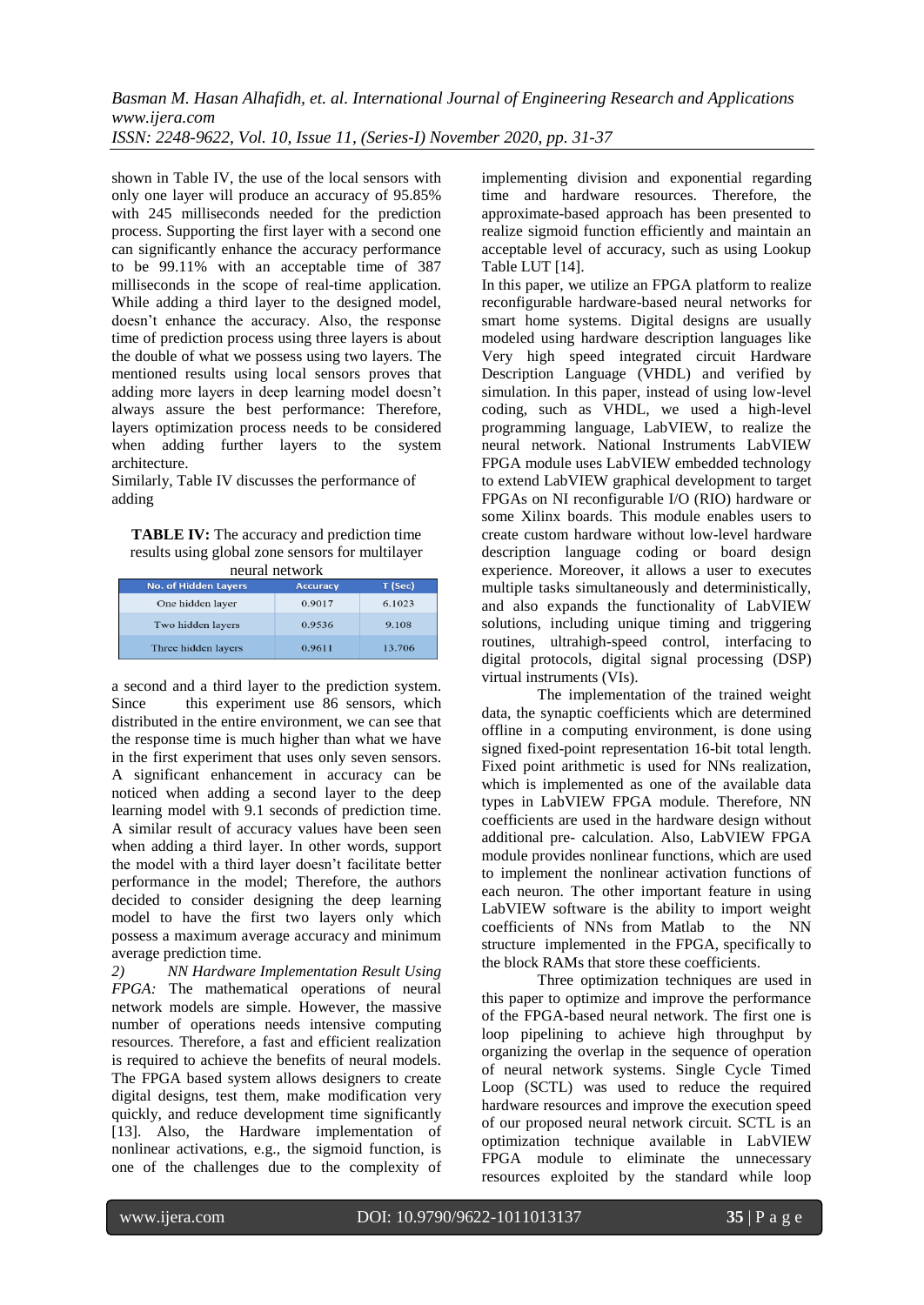*Basman M. Hasan Alhafidh, et. al. International Journal of Engineering Research and Applications www.ijera.com*

*ISSN: 2248-9622, Vol. 10, Issue 11, (Series-I) November 2020, pp. 31-37*

shown in Table IV, the use of the local sensors with only one layer will produce an accuracy of 95.85% with 245 milliseconds needed for the prediction process. Supporting the first layer with a second one can significantly enhance the accuracy performance to be 99.11% with an acceptable time of 387 milliseconds in the scope of real-time application. While adding a third layer to the designed model, doesn't enhance the accuracy. Also, the response time of prediction process using three layers is about the double of what we possess using two layers. The mentioned results using local sensors proves that adding more layers in deep learning model doesn't always assure the best performance: Therefore, layers optimization process needs to be considered when adding further layers to the system architecture.

Similarly, Table IV discusses the performance of adding

**TABLE IV:** The accuracy and prediction time results using global zone sensors for multilayer

|  | neural network |
|--|----------------|
|  |                |

| <b>No. of Hidden Layers</b> | <b>Accuracy</b> | T (Sec) |
|-----------------------------|-----------------|---------|
| One hidden layer            | 0.9017          | 6.1023  |
| Two hidden layers           | 0.9536          | 9.108   |
| Three hidden layers         | 0.9611          | 13.706  |

a second and a third layer to the prediction system. Since this experiment use 86 sensors, which distributed in the entire environment, we can see that the response time is much higher than what we have in the first experiment that uses only seven sensors. A significant enhancement in accuracy can be noticed when adding a second layer to the deep learning model with 9.1 seconds of prediction time. A similar result of accuracy values have been seen when adding a third layer. In other words, support the model with a third layer doesn't facilitate better performance in the model; Therefore, the authors decided to consider designing the deep learning model to have the first two layers only which possess a maximum average accuracy and minimum average prediction time.

*2) NN Hardware Implementation Result Using FPGA:* The mathematical operations of neural network models are simple. However, the massive number of operations needs intensive computing resources. Therefore, a fast and efficient realization is required to achieve the benefits of neural models. The FPGA based system allows designers to create digital designs, test them, make modification very quickly, and reduce development time significantly [13]. Also, the Hardware implementation of nonlinear activations, e.g., the sigmoid function, is one of the challenges due to the complexity of

implementing division and exponential regarding time and hardware resources. Therefore, the approximate-based approach has been presented to realize sigmoid function efficiently and maintain an acceptable level of accuracy, such as using Lookup Table LUT [14].

In this paper, we utilize an FPGA platform to realize reconfigurable hardware-based neural networks for smart home systems. Digital designs are usually modeled using hardware description languages like Very high speed integrated circuit Hardware Description Language (VHDL) and verified by simulation. In this paper, instead of using low-level coding, such as VHDL, we used a high-level programming language, LabVIEW, to realize the neural network. National Instruments LabVIEW FPGA module uses LabVIEW embedded technology to extend LabVIEW graphical development to target FPGAs on NI reconfigurable I/O (RIO) hardware or some Xilinx boards. This module enables users to create custom hardware without low-level hardware description language coding or board design experience. Moreover, it allows a user to executes multiple tasks simultaneously and deterministically, and also expands the functionality of LabVIEW solutions, including unique timing and triggering routines, ultrahigh-speed control, interfacing to digital protocols, digital signal processing (DSP) virtual instruments (VIs).

The implementation of the trained weight data, the synaptic coefficients which are determined offline in a computing environment, is done using signed fixed-point representation 16-bit total length. Fixed point arithmetic is used for NNs realization, which is implemented as one of the available data types in LabVIEW FPGA module. Therefore, NN coefficients are used in the hardware design without additional pre- calculation. Also, LabVIEW FPGA module provides nonlinear functions, which are used to implement the nonlinear activation functions of each neuron. The other important feature in using LabVIEW software is the ability to import weight coefficients of NNs from Matlab to the NN structure implemented in the FPGA, specifically to the block RAMs that store these coefficients.

Three optimization techniques are used in this paper to optimize and improve the performance of the FPGA-based neural network. The first one is loop pipelining to achieve high throughput by organizing the overlap in the sequence of operation of neural network systems. Single Cycle Timed Loop (SCTL) was used to reduce the required hardware resources and improve the execution speed of our proposed neural network circuit. SCTL is an optimization technique available in LabVIEW FPGA module to eliminate the unnecessary resources exploited by the standard while loop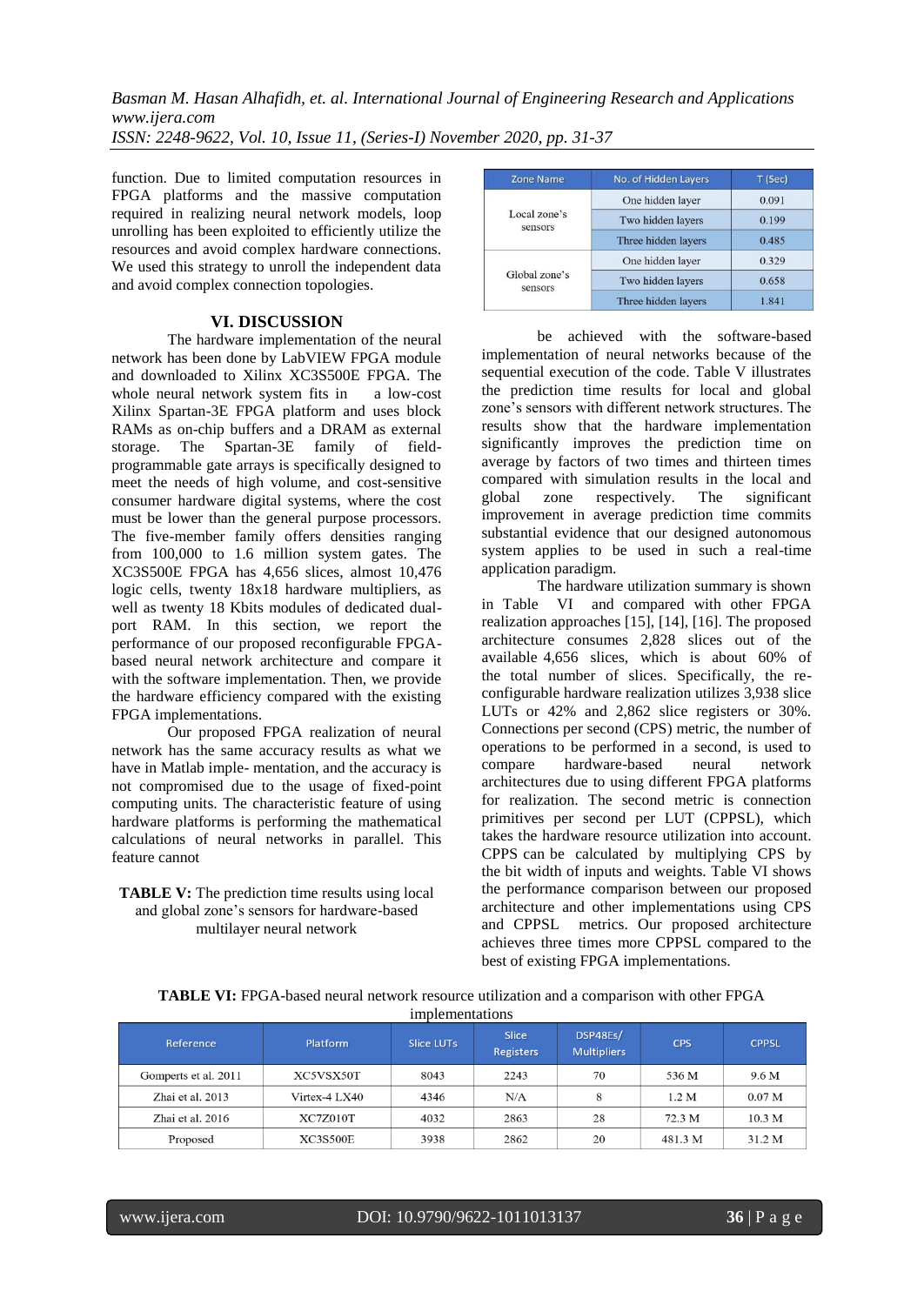function. Due to limited computation resources in FPGA platforms and the massive computation required in realizing neural network models, loop unrolling has been exploited to efficiently utilize the resources and avoid complex hardware connections. We used this strategy to unroll the independent data and avoid complex connection topologies.

#### **VI. DISCUSSION**

The hardware implementation of the neural network has been done by LabVIEW FPGA module and downloaded to Xilinx XC3S500E FPGA. The whole neural network system fits in a low-cost Xilinx Spartan-3E FPGA platform and uses block RAMs as on-chip buffers and a DRAM as external storage. The Spartan-3E family of fieldprogrammable gate arrays is specifically designed to meet the needs of high volume, and cost-sensitive consumer hardware digital systems, where the cost must be lower than the general purpose processors. The five-member family offers densities ranging from 100,000 to 1.6 million system gates. The XC3S500E FPGA has 4,656 slices, almost 10,476 logic cells, twenty 18x18 hardware multipliers, as well as twenty 18 Kbits modules of dedicated dualport RAM. In this section, we report the performance of our proposed reconfigurable FPGAbased neural network architecture and compare it with the software implementation. Then, we provide the hardware efficiency compared with the existing FPGA implementations.

Our proposed FPGA realization of neural network has the same accuracy results as what we have in Matlab imple- mentation, and the accuracy is not compromised due to the usage of fixed-point computing units. The characteristic feature of using hardware platforms is performing the mathematical calculations of neural networks in parallel. This feature cannot

**TABLE V:** The prediction time results using local and global zone's sensors for hardware-based multilayer neural network

| <b>Zone Name</b>         | No. of Hidden Layers | T (Sec) |
|--------------------------|----------------------|---------|
| Local zone's<br>sensors  | One hidden layer     | 0.091   |
|                          | Two hidden layers    | 0.199   |
|                          | Three hidden layers  | 0.485   |
| Global zone's<br>sensors | One hidden layer     | 0.329   |
|                          | Two hidden layers    | 0.658   |
|                          | Three hidden layers  | 1.841   |

be achieved with the software-based implementation of neural networks because of the sequential execution of the code. Table V illustrates the prediction time results for local and global zone's sensors with different network structures. The results show that the hardware implementation significantly improves the prediction time on average by factors of two times and thirteen times compared with simulation results in the local and global zone respectively. The significant improvement in average prediction time commits substantial evidence that our designed autonomous system applies to be used in such a real-time application paradigm.

The hardware utilization summary is shown in Table VI and compared with other FPGA realization approaches [15], [14], [16]. The proposed architecture consumes 2,828 slices out of the available 4,656 slices, which is about 60% of the total number of slices. Specifically, the reconfigurable hardware realization utilizes 3,938 slice LUTs or 42% and 2,862 slice registers or 30%. Connections per second (CPS) metric, the number of operations to be performed in a second, is used to compare hardware-based neural network architectures due to using different FPGA platforms for realization. The second metric is connection primitives per second per LUT (CPPSL), which takes the hardware resource utilization into account. CPPS can be calculated by multiplying CPS by the bit width of inputs and weights. Table VI shows the performance comparison between our proposed architecture and other implementations using CPS and CPPSL metrics. Our proposed architecture achieves three times more CPPSL compared to the best of existing FPGA implementations.

| <b>TABLE VI:</b> FPGA-based neural network resource utilization and a comparison with other FPGA |
|--------------------------------------------------------------------------------------------------|
| implementations                                                                                  |

| Reference,           | <b>Platform</b> | <b>Slice LUTs</b> | <b>Slice</b><br>Registers | DSP48Es/<br><b>Multipliers</b> | <b>CPS</b> | <b>CPPSL</b>      |
|----------------------|-----------------|-------------------|---------------------------|--------------------------------|------------|-------------------|
| Gomperts et al. 2011 | XC5VSX50T       | 8043              | 2243                      | 70                             | 536 M      | 9.6 M             |
| Zhai et al. 2013     | Virtex-4 LX40   | 4346              | N/A                       | 8                              | 1.2 M      | 0.07 <sub>M</sub> |
| Zhai et al. 2016     | XC7Z010T        | 4032              | 2863                      | 28                             | 72.3 M     | 10.3 <sub>M</sub> |
| Proposed             | <b>XC3S500E</b> | 3938              | 2862                      | 20                             | 481.3 M    | 31.2 M            |